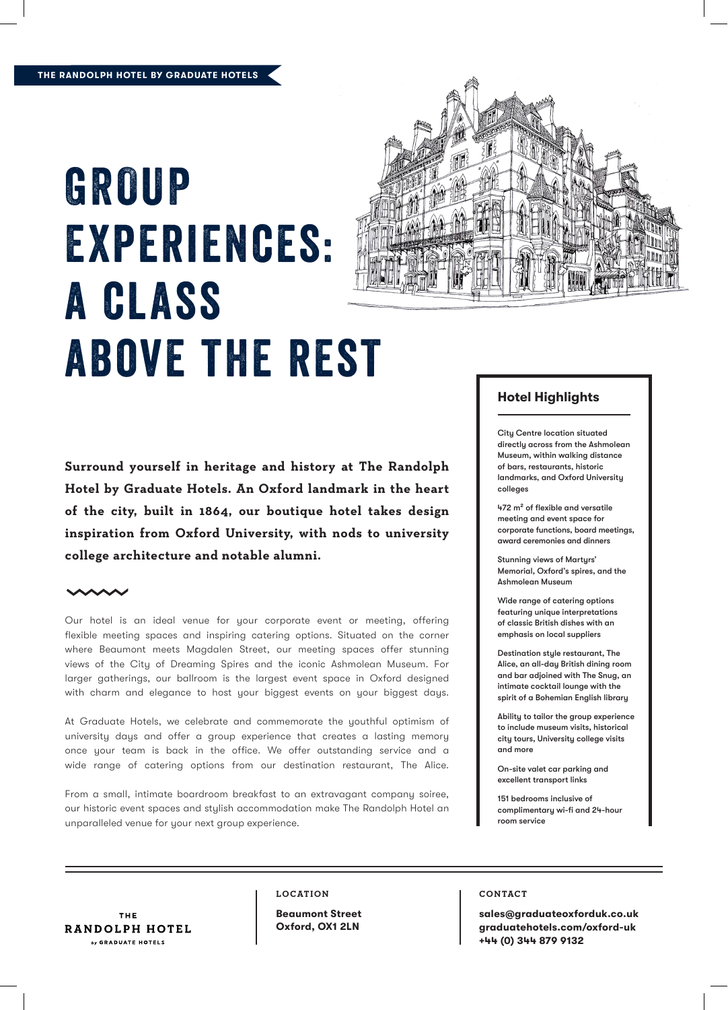## GROUP Experiences: a class above the rest



**Surround yourself in heritage and history at The Randolph Hotel by Graduate Hotels. An Oxford landmark in the heart of the city, built in 1864, our boutique hotel takes design inspiration from Oxford University, with nods to university college architecture and notable alumni.**

Our hotel is an ideal venue for your corporate event or meeting, offering flexible meeting spaces and inspiring catering options. Situated on the corner where Beaumont meets Magdalen Street, our meeting spaces offer stunning views of the City of Dreaming Spires and the iconic Ashmolean Museum. For larger gatherings, our ballroom is the largest event space in Oxford designed with charm and elegance to host your biggest events on your biggest days.

At Graduate Hotels, we celebrate and commemorate the youthful optimism of university days and offer a group experience that creates a lasting memory once your team is back in the office. We offer outstanding service and a wide range of catering options from our destination restaurant, The Alice.

From a small, intimate boardroom breakfast to an extravagant company soiree, our historic event spaces and stylish accommodation make The Randolph Hotel an unparalleled venue for your next group experience.

### **Hotel Highlights**

City Centre location situated directly across from the Ashmolean Museum, within walking distance of bars, restaurants, historic landmarks, and Oxford University colleges

472 m² of flexible and versatile meeting and event space for corporate functions, board meetings, award ceremonies and dinners

Stunning views of Marturs' Memorial, Oxford's spires, and the Ashmolean Museum

Wide range of catering options featuring unique interpretations of classic British dishes with an emphasis on local suppliers

Destination style restaurant, The Alice, an all-day British dining room and bar adjoined with The Snug, an intimate cocktail lounge with the spirit of a Bohemian English library

Ability to tailor the group experience to include museum visits, historical city tours, University college visits and more

On-site valet car parking and excellent transport links

151 bedrooms inclusive of complimentary wi-fi and 24-hour room service

THE RANDOLPH HOTEL by GRADUATE HOTELS

#### **LOCATION**

**Beaumont Street Oxford, OX1 2LN**

#### **CONTACT**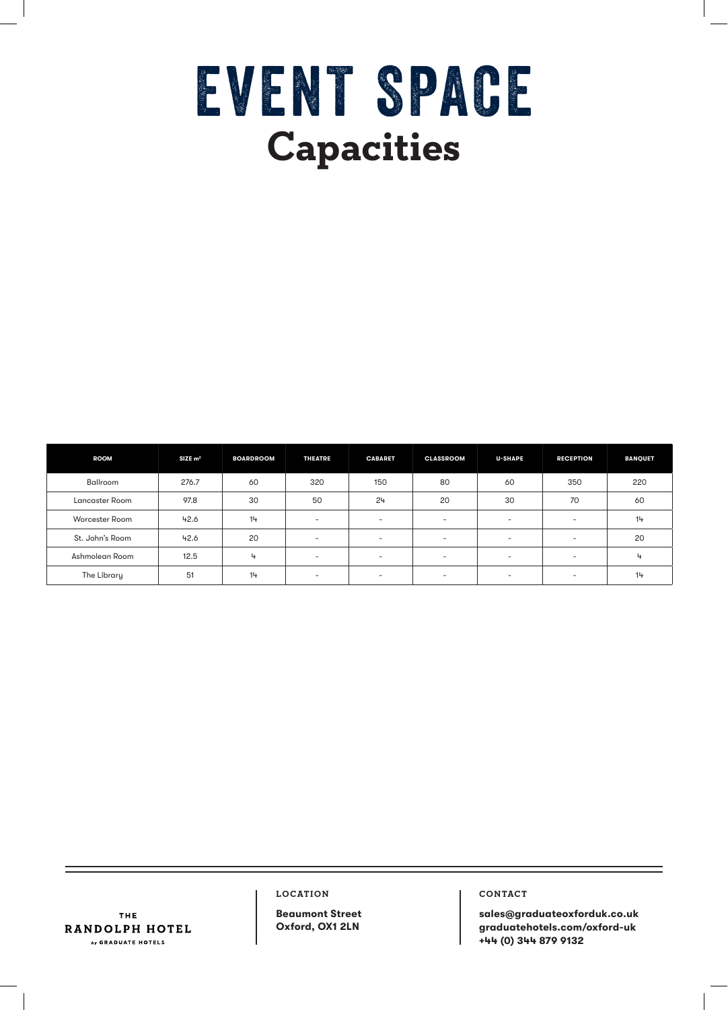# EVENT SPACE **Capacities**

| <b>ROOM</b>     | $SIZE$ m <sup>2</sup> | <b>BOARDROOM</b> | <b>THEATRE</b>           | <b>CABARET</b> | <b>CLASSROOM</b>         | <b>U-SHAPE</b>           | <b>RECEPTION</b> | <b>BANQUET</b> |
|-----------------|-----------------------|------------------|--------------------------|----------------|--------------------------|--------------------------|------------------|----------------|
| Ballroom        | 276.7                 | 60               | 320                      | 150            | 80                       | 60                       | 350              | 220            |
| Lancaster Room  | 97.8                  | 30               | 50                       | 24             | 20                       | 30                       | 70               | 60             |
| Worcester Room  | 42.6                  | 14               | $\sim$                   | . .            | $\overline{\phantom{a}}$ | ۰                        | ۰.               | 14             |
| St. John's Room | 42.6                  | 20               | <b>.</b>                 | . .            | $\overline{\phantom{a}}$ | $\sim$                   | ۰.               | 20             |
| Ashmolean Room  | 12.5                  | 4                | $\sim$                   | $\sim$         | $\overline{\phantom{a}}$ | ÷.                       | ۰.               | 4              |
| The Library     | 51                    | 14               | $\overline{\phantom{a}}$ | . .            | $\overline{\phantom{a}}$ | $\overline{\phantom{a}}$ | -                | 14             |

**LOCATION**

THE RANDOLPH HOTEL  $by$  GRADUATE HOTELS

**Beaumont Street Oxford, OX1 2LN**

**CONTACT**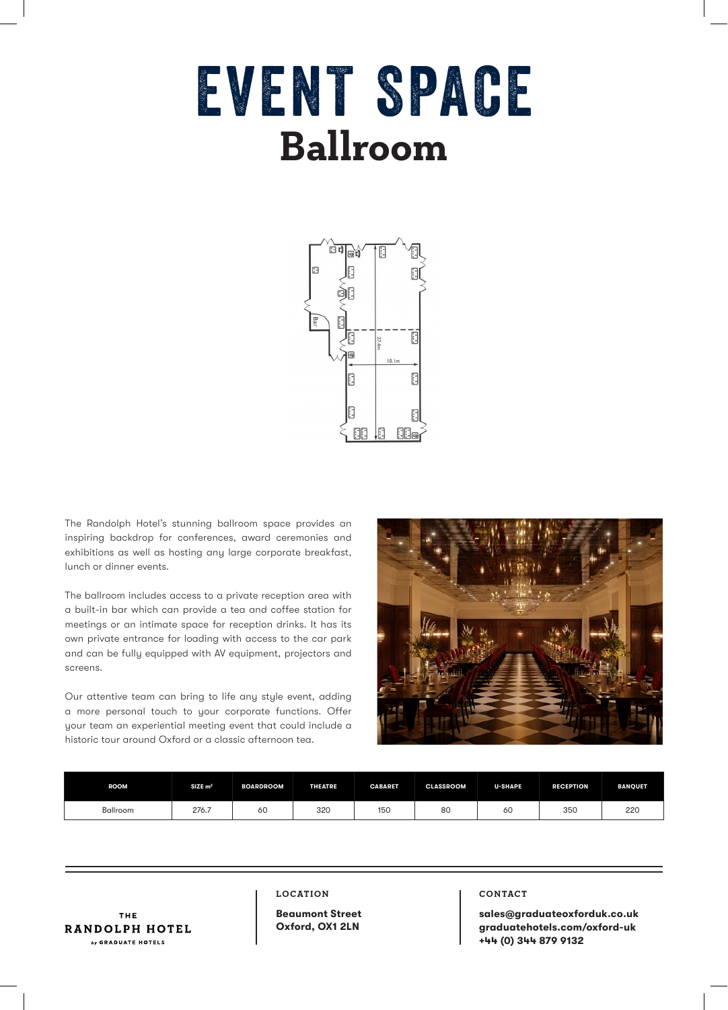## EVENT SPACE **Ballroom**



The Randolph Hotel's stunning ballroom space provides an inspiring backdrop for conferences, award ceremonies and exhibitions as well as hosting any large corporate breakfast, lunch or dinner events.

The ballroom includes access to a private reception area with a built-in bar which can provide a tea and coffee station for meetings or an intimate space for reception drinks. It has its own private entrance for loading with access to the car park and can be fully equipped with AV equipment, projectors and screens.

Our attentive team can bring to life any style event, adding a more personal touch to your corporate functions. Offer your team an experiential meeting event that could include a historic tour around Oxford or a classic afternoon tea.



| <b>ROOM</b>     | $SIZE$ m <sup>2</sup> | <b>BOARDROOM</b> | <b>THEATRE</b> | <b>CABARET</b> | <b>CLASSROOM</b> | <b>U-SHAPE</b> | <b>RECEPTION</b> | <b>BANQUET</b> |
|-----------------|-----------------------|------------------|----------------|----------------|------------------|----------------|------------------|----------------|
| <b>Ballroom</b> | 276.7                 | οU               | 320            | 150            | $\Omega$<br>80   | 60             | 35C              | 220            |

THE RANDOLPH HOTEL by GRADUATE HOTELS

#### **LOCATION**

**Beaumont Street Oxford, OX1 2LN**

#### **CONTACT**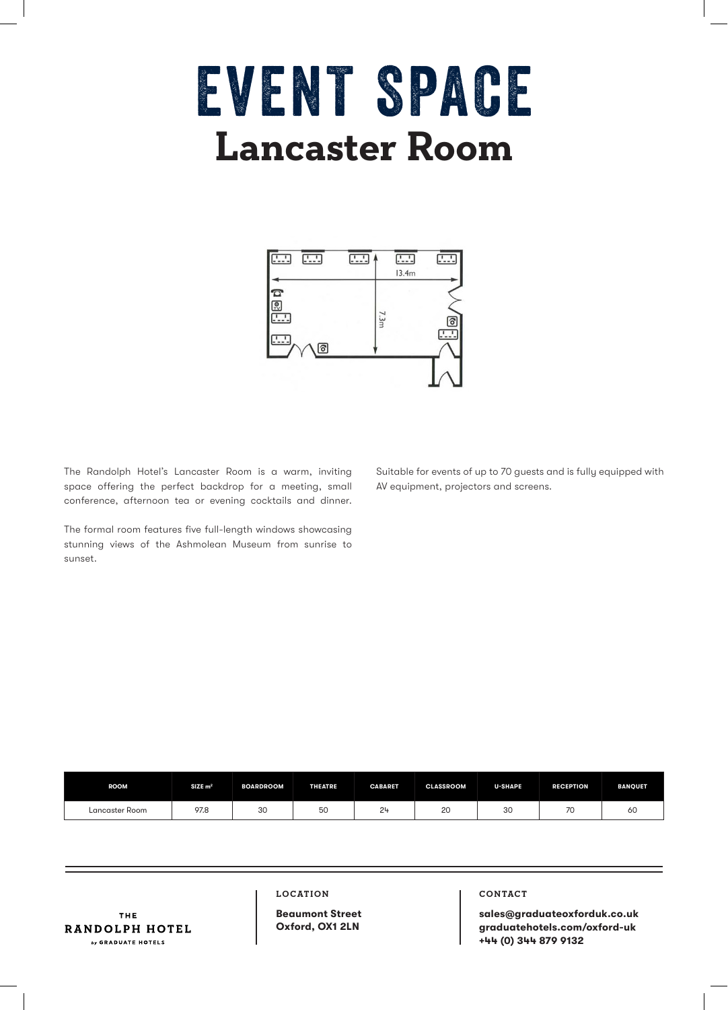### EVENT SPACE **Lancaster Room**



The Randolph Hotel's Lancaster Room is a warm, inviting space offering the perfect backdrop for a meeting, small conference, afternoon tea or evening cocktails and dinner.

The formal room features five full-length windows showcasing stunning views of the Ashmolean Museum from sunrise to sunset.

Suitable for events of up to 70 guests and is fully equipped with AV equipment, projectors and screens.

| <b>ROOM</b>    | $SIZE$ m <sup>2</sup> | <b>BOARDROOM</b> | <b>THEATRE</b> | <b>CABARET</b> | <b>CLASSROOM</b> | <b>U-SHAPE</b> | <b>RECEPTION</b> | <b>BANQUET</b> |
|----------------|-----------------------|------------------|----------------|----------------|------------------|----------------|------------------|----------------|
| Lancaster Room | 97.8                  | 30               | 50             | 24             | $\sim$<br>ZU     | 30             | 7 U              | ου             |

THE RANDOLPH HOTEL by GRADUATE HOTELS

#### **LOCATION**

**Beaumont Street Oxford, OX1 2LN**

#### **CONTACT**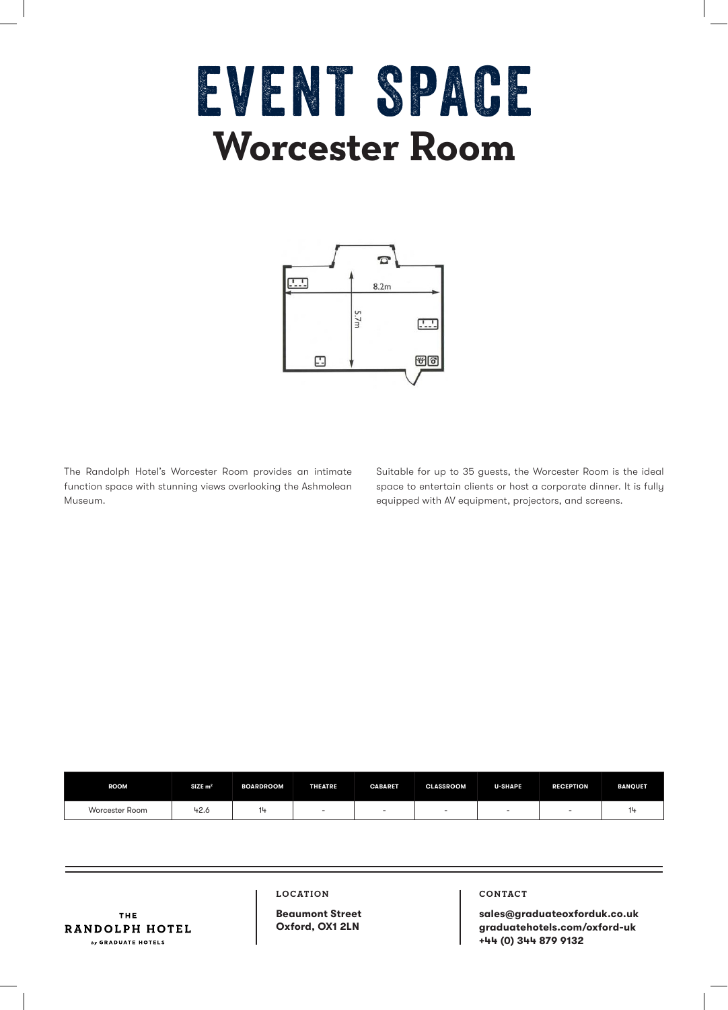### EVENT SPACE **Worcester Room**



The Randolph Hotel's Worcester Room provides an intimate function space with stunning views overlooking the Ashmolean Museum.

Suitable for up to 35 guests, the Worcester Room is the ideal space to entertain clients or host a corporate dinner. It is fully equipped with AV equipment, projectors, and screens.

| <b>ROOM</b>    | $SIZE$ m <sup>2</sup> | <b>BOARDROOM</b> | <b>THEATRE</b> | <b>CABARET</b> | <b>CLASSROOM</b> | <b>U-SHAPE</b> | <b>RECEPTION</b> | <b>BANQUET</b> |
|----------------|-----------------------|------------------|----------------|----------------|------------------|----------------|------------------|----------------|
| Worcester Room | 42.6                  |                  | $\sim$         |                |                  | $\sim$         |                  |                |

THE RANDOLPH HOTEL by GRADUATE HOTELS

**LOCATION**

**Beaumont Street Oxford, OX1 2LN**

#### **CONTACT**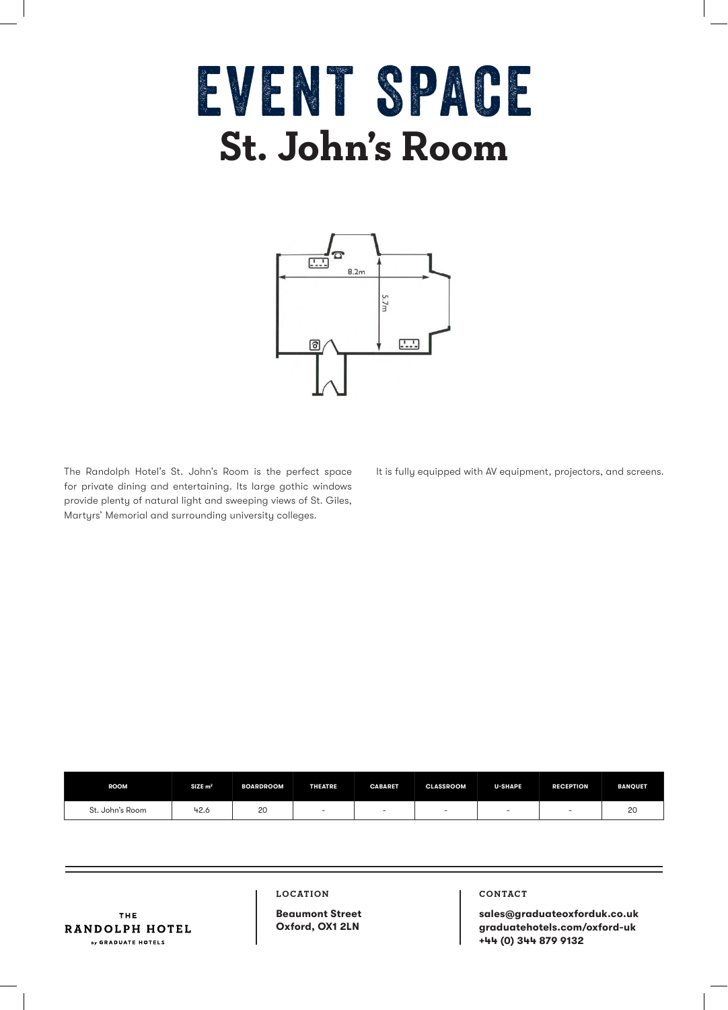## EVENT SPACE **St. John's Room**



The Randolph Hotel's St. John's Room is the perfect space for private dining and entertaining. Its large gothic windows provide plenty of natural light and sweeping views of St. Giles, Martyrs' Memorial and surrounding university colleges.

It is fully equipped with AV equipment, projectors, and screens.

| <b>ROOM</b>     | $SIZE$ m <sup>2</sup> | <b>BOARDROOM</b> | <b>THEATRE</b>           | <b>CABARET</b> | <b>CLASSROOM</b> | <b>U-SHAPE</b> | <b>RECEPTION</b> | <b>BANQUET</b> |
|-----------------|-----------------------|------------------|--------------------------|----------------|------------------|----------------|------------------|----------------|
| St. John's Room | $+2.6$<br>_____       | 20               | $\overline{\phantom{a}}$ |                |                  |                |                  | n.<br>∠∪       |

THE RANDOLPH HOTEL by GRADUATE HOTELS

#### **LOCATION**

**Beaumont Street Oxford, OX1 2LN**

#### **CONTACT**